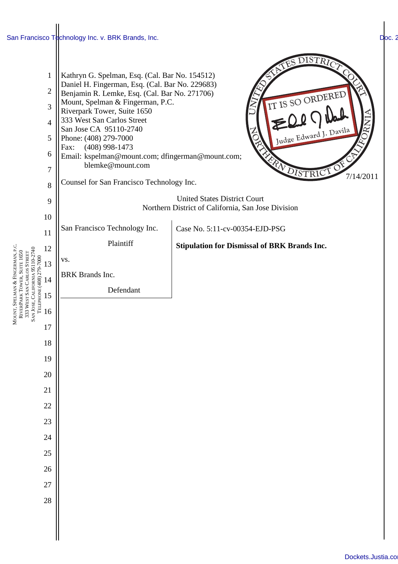## [San Francisco Technology Inc. v. BRK Brands, Inc.](http://dockets.justia.com/docket/california/candce/5:2011cv00354/236416/)